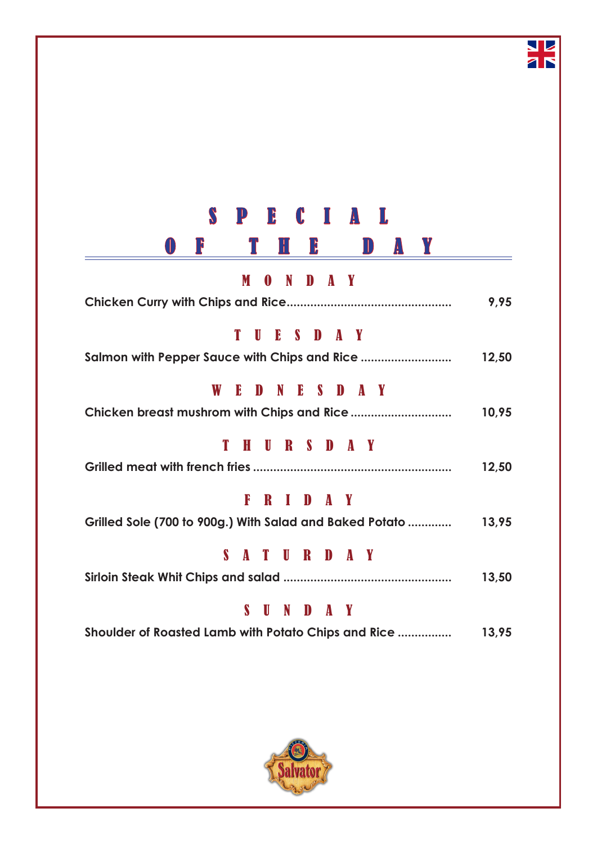| ץ<br> }<br>$\mathbf{H}$ $\mathbf{B}$<br>$\mathbf{J}$<br>A<br>$\mathbb{U}$ |       |
|---------------------------------------------------------------------------|-------|
|                                                                           |       |
| M<br>ND AY<br>$\boldsymbol{0}$                                            |       |
|                                                                           | 9,95  |
| T<br>SD <b>S</b><br>E<br>A Y<br>U                                         |       |
|                                                                           | 12,50 |
| W E<br>DNESDAY                                                            |       |
|                                                                           | 10,95 |
| URSDAY<br>T<br>H                                                          |       |
|                                                                           | 12,50 |
| RIDAY<br>F                                                                |       |
| Grilled Sole (700 to 900g.) With Salad and Baked Potato                   | 13,95 |
| S.<br>ATURDAY                                                             |       |
|                                                                           | 13,50 |
| S<br>U<br>N<br>$\mathbf{D}$<br>AY                                         |       |
| Shoulder of Roasted Lamb with Potato Chips and Rice                       | 13,95 |

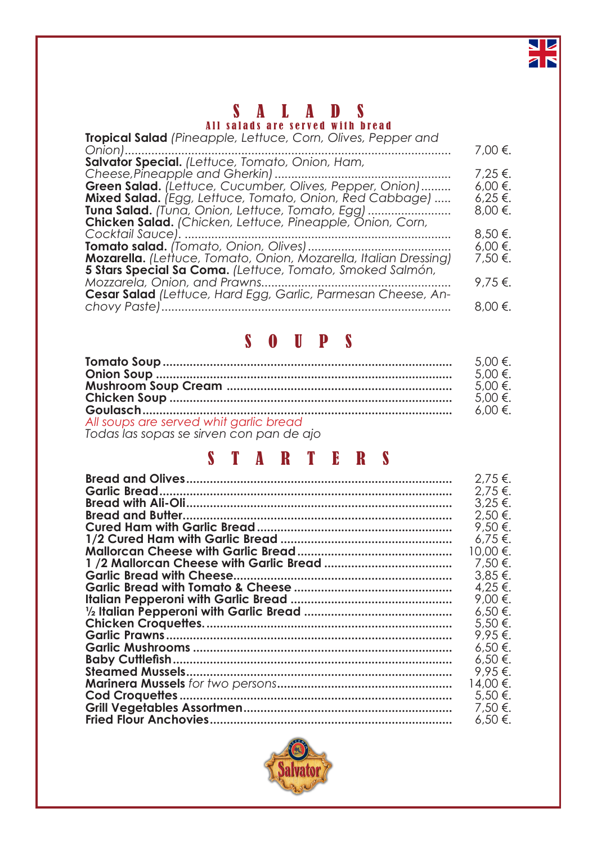

# SAL ADS

All salads are served with bread

| Tropical Salad (Pineapple, Lettuce, Corn, Olives, Pepper and            |              |
|-------------------------------------------------------------------------|--------------|
|                                                                         | 7,00 €.      |
| Salvator Special. (Lettuce, Tomato, Onion, Ham,                         |              |
|                                                                         | $7,25 \in$ . |
| Green Salad. (Lettuce, Cucumber, Olives, Pepper, Onion)                 | $6,00 \in .$ |
| <b>Mixed Salad.</b> (Egg, Lettuce, Tomato, Onion, Red Cabbage)          | $6.25 \in$ . |
| <b>Tuna Salad.</b> (Tuna, Onion, Lettuce, Tomato, Egg)                  | $8,00 \in .$ |
| <b>Chicken Salad.</b> (Chicken, Lettuce, Pineapple, Onion, Corn,        |              |
|                                                                         | $8,50 \in$ . |
|                                                                         | $6,00 \in .$ |
| <b>Mozarella.</b> (Lettuce, Tomato, Onion, Mozarella, Italian Dressing) | 7,50 €.      |
| 5 Stars Special Sa Coma. (Lettuce, Tomato, Smoked Salmón,               |              |
|                                                                         | $9,75$ €.    |
| Cesar Salad (Lettuce, Hard Egg, Garlic, Parmesan Cheese, An-            |              |
|                                                                         | $8,00 \in .$ |

### SOUPS

|                                                                                    | $5.00 \in$ . |
|------------------------------------------------------------------------------------|--------------|
|                                                                                    | $5.00 \in$ . |
|                                                                                    | $5.00 \in$   |
|                                                                                    | $5.00 \in$ . |
|                                                                                    | $6.00 \in$   |
| All soups are served whit garlic bread<br>Todas las sonas so sincon con pan do gio |              |
|                                                                                    |              |

*Todas las sopas se sirven con pan de ajo*

### STARTERS

| 2,75 €.      |
|--------------|
| 2,75 €.      |
| $3.25 \in$ . |
| 2.50 €.      |
| 9,50 €.      |
| $6.75 \in$ . |
| 10.00 €.     |
| 7,50 €.      |
| $3.85 \in$ . |
| 4.25 €.      |
| 9.00 €.      |
| $6,50 \in.$  |
| 5.50 €.      |
| 9.95 €.      |
| $6.50 \in .$ |
| $6.50 \in .$ |
| 9.95 €.      |
| 14.00 €.     |
| 5,50 €.      |
| 7,50 €.      |
| $6,50 \in$ . |
|              |

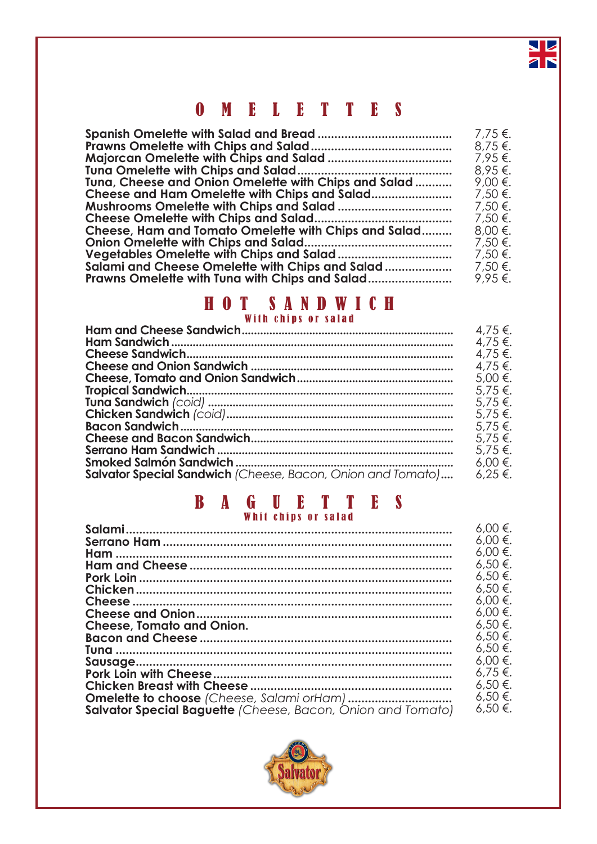### OMELETTES

|                                                      | 7,75 €. |
|------------------------------------------------------|---------|
|                                                      | 8,75€.  |
|                                                      | 7,95 €. |
|                                                      | 8,95€.  |
| Tuna, Cheese and Onion Omelette with Chips and Salad | 9,00 €. |
| Cheese and Ham Omelette with Chips and Salad         | 7,50 €. |
|                                                      | 7,50 €. |
|                                                      | 7,50 €. |
| Cheese, Ham and Tomato Omelette with Chips and Salad | 8,00 €. |
|                                                      | 7,50 €. |
|                                                      | 7,50 €. |
| Salami and Cheese Omelette with Chips and Salad      | 7,50 €. |
| Prawns Omelette with Tuna with Chips and Salad       | 9,95€.  |

### HOT SANDWICH With chips or salad

|                                                                     | 4.75 €.      |
|---------------------------------------------------------------------|--------------|
|                                                                     | $4.75 \in$ . |
|                                                                     | $4.75 \in$ . |
|                                                                     | 4,75 €.      |
|                                                                     | 5,00 €.      |
|                                                                     | 5,75 €.      |
|                                                                     | $5.75 \in$ . |
|                                                                     | $5.75 \in$ . |
|                                                                     | 5,75 €.      |
|                                                                     | $5.75 \in$ . |
|                                                                     | $5.75 \in$ . |
|                                                                     | 6,00 €.      |
| Salvator Special Sandwich (Cheese, Bacon, Onion and Tomato) 6,25 €. |              |

### BAGUETTES Whit chips or salad

|                                                                    | $6.00 \in .$ |
|--------------------------------------------------------------------|--------------|
|                                                                    | $6,00 \in .$ |
|                                                                    | $6.00 \in .$ |
|                                                                    | $6.50 \in$   |
|                                                                    | $6.50 \in$   |
|                                                                    | $6.50 \in$   |
|                                                                    | $6.00 \in$   |
|                                                                    | $6.00 \in .$ |
| <b>Cheese, Tomato and Onion.</b>                                   | $6.50 \in$   |
|                                                                    | $6.50 \in$   |
|                                                                    | $6.50 \in$   |
|                                                                    | $6.00 \in .$ |
|                                                                    | $6.75 \in$   |
|                                                                    | $6,50 \in$   |
|                                                                    | $6.50 \in$   |
| <b>Salvator Special Baguette</b> (Cheese, Bacon, Onion and Tomato) | $6,50 \in$   |

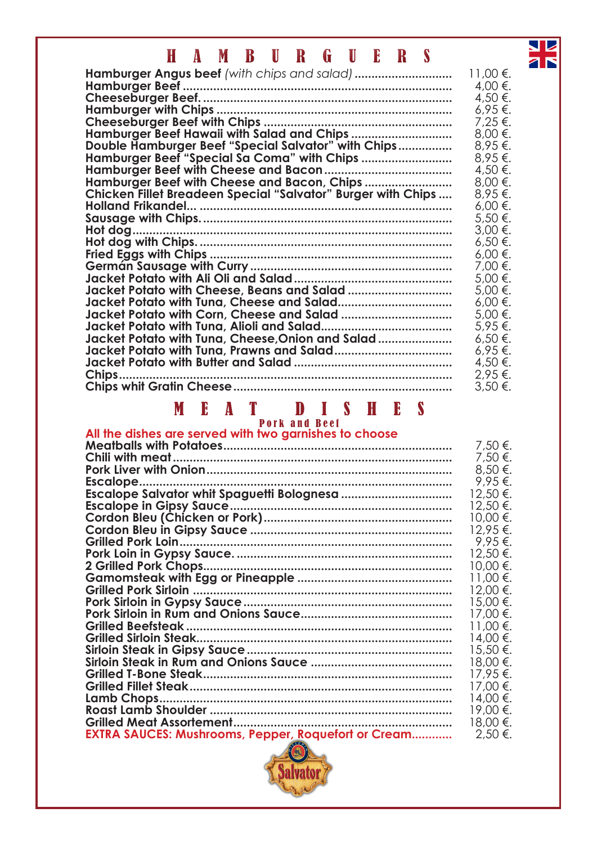## HAMBURGUERS

|                                                              | 11,00 €.     |
|--------------------------------------------------------------|--------------|
|                                                              | 4,00 €.      |
|                                                              | 4,50 €.      |
|                                                              | 6,95€.       |
|                                                              | 7,25 €.      |
| Hamburger Beef Hawaii with Salad and Chips                   | $8,00 \in .$ |
| Double Hamburger Beef "Special Salvator" with Chips          | 8,95€.       |
| Hamburger Beef "Special Sa Coma" with Chips                  | $8.95 \in$ . |
|                                                              | 4,50 €.      |
| Hamburger Beef with Cheese and Bacon, Chips                  | 8,00 €.      |
| Chicken Fillet Breadeen Special "Salvator" Burger with Chips | 8,95€.       |
|                                                              | $6,00 \in .$ |
|                                                              | 5,50 €.      |
|                                                              | $3,00 \in.$  |
|                                                              | 6,50 €.      |
|                                                              | $6,00 \in.$  |
|                                                              | 7,00 €.      |
|                                                              | 5,00 €.      |
|                                                              | 5,00 €.      |
|                                                              | $6,00 \in .$ |
|                                                              | 5,00 €.      |
|                                                              | 5,95 €.      |
| Jacket Potato with Tuna, Cheese, Onion and Salad             | 6,50€.       |
|                                                              | 6,95€.       |
|                                                              |              |
|                                                              | 4,50 €.      |
| Chips.                                                       | $2.95 \in$ . |
|                                                              | $3,50 \in$ . |

#### MEAT DISHES Pork and Beef

#### **All the dishes are served with two garnishes to choose**

|                                                            | 7,50 €.  |
|------------------------------------------------------------|----------|
|                                                            | 7,50 €.  |
|                                                            | 8,50 €.  |
| Escalope.                                                  | 9,95 €.  |
|                                                            | 12,50 €. |
|                                                            | 12,50 €. |
|                                                            | 10,00 €. |
|                                                            | 12,95 €. |
|                                                            | 9,95€.   |
|                                                            | 12,50 €. |
|                                                            | 10,00 €. |
|                                                            | 11,00 €. |
|                                                            | 12,00 €. |
|                                                            | 15,00 €. |
|                                                            | 17,00 €. |
|                                                            | 11,00 €. |
|                                                            | 14,00 €. |
|                                                            | 15,50 €. |
|                                                            | 18,00 €. |
|                                                            | 17,95€.  |
|                                                            | 17,00 €. |
|                                                            | 14,00 €. |
|                                                            | 19,00 €. |
|                                                            | 18,00 €. |
| <b>EXTRA SAUCES: Mushrooms, Pepper, Roquefort or Cream</b> | 2,50 €.  |

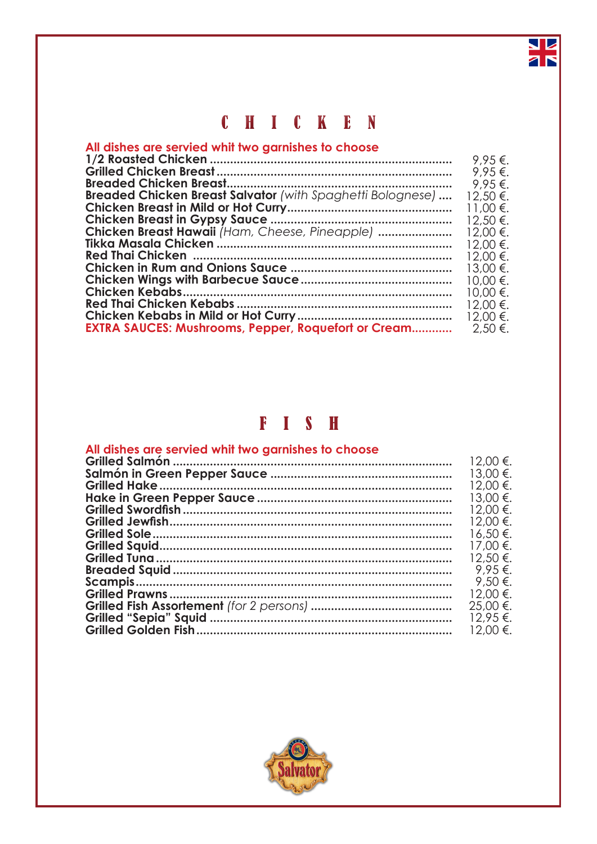## CHICKEN

### All dishes are servied whit two garnishes to choose

|                                                                   | 9.95€.   |
|-------------------------------------------------------------------|----------|
|                                                                   | 9.95€.   |
|                                                                   | 9.95€.   |
| <b>Breaded Chicken Breast Salvator</b> (with Spaghetti Bolognese) | 12,50 €. |
|                                                                   | 11,00 €. |
|                                                                   | 12,50 €. |
| Chicken Breast Hawaii (Ham, Cheese, Pineapple)                    | 12,00 €. |
|                                                                   | 12,00 €. |
|                                                                   | 12,00 €. |
|                                                                   | 13,00 €. |
|                                                                   | 10,00 €. |
|                                                                   | 10,00 €. |
|                                                                   | 12,00 €. |
|                                                                   | 12,00 €. |
| <b>EXTRA SAUCES: Mushrooms, Pepper, Roquefort or Cream</b>        | 2,50 €.  |

### FISH

| All dishes are servied whit two garnishes to choose | 12.00 €.     |
|-----------------------------------------------------|--------------|
|                                                     | 13.00 €.     |
|                                                     | 12.00 €.     |
|                                                     | 13,00 €.     |
|                                                     | 12.00 €.     |
|                                                     | 12.00 €.     |
|                                                     | 16,50 €.     |
|                                                     | 17.00 €.     |
|                                                     | $12.50 \in$  |
|                                                     | $9.95€$ .    |
|                                                     | $9.50 \in$ . |
|                                                     | 12.00 €.     |
|                                                     | 25,00 €.     |
|                                                     | 12.95 €.     |
|                                                     | 12.00 €.     |
|                                                     |              |

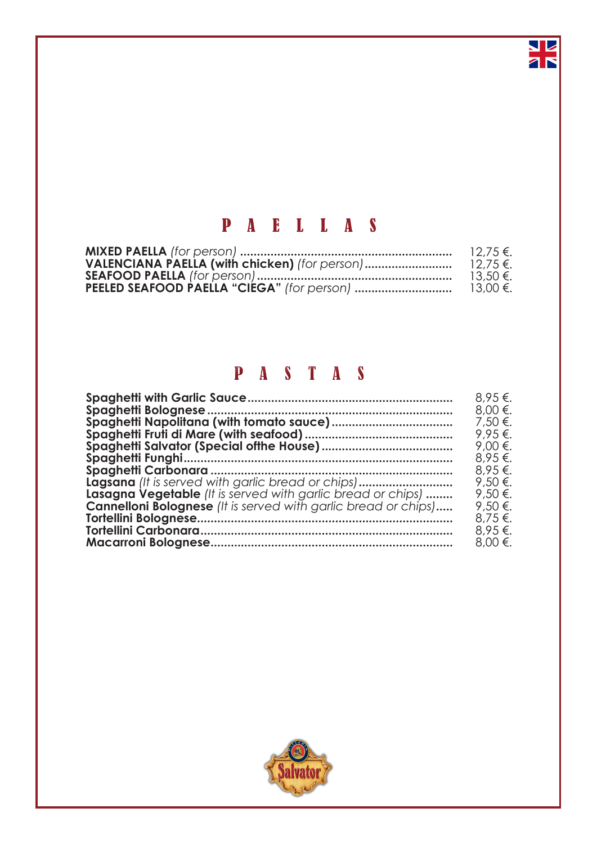## PAELLAS

**NE** 

| $12.75 \in$ . |
|---------------|
| $12.75 \in$ . |
| 13.50 €.      |
| 13,00 €.      |

## PASTAS

|                                                                       | 8.95€.  |
|-----------------------------------------------------------------------|---------|
|                                                                       | 8,00 €. |
|                                                                       | 7,50 €. |
|                                                                       | 9,95€.  |
|                                                                       | 9,00 €. |
|                                                                       | 8,95€.  |
|                                                                       | 8.95 €. |
|                                                                       | 9,50 €. |
| <b>Lasagna Vegetable</b> (It is served with garlic bread or chips)    | 9,50 €. |
| <b>Cannelloni Bolognese</b> (It is served with garlic bread or chips) | 9,50 €. |
|                                                                       | 8,75 €. |
|                                                                       | 8,95€.  |
|                                                                       | 8,00 €. |
|                                                                       |         |

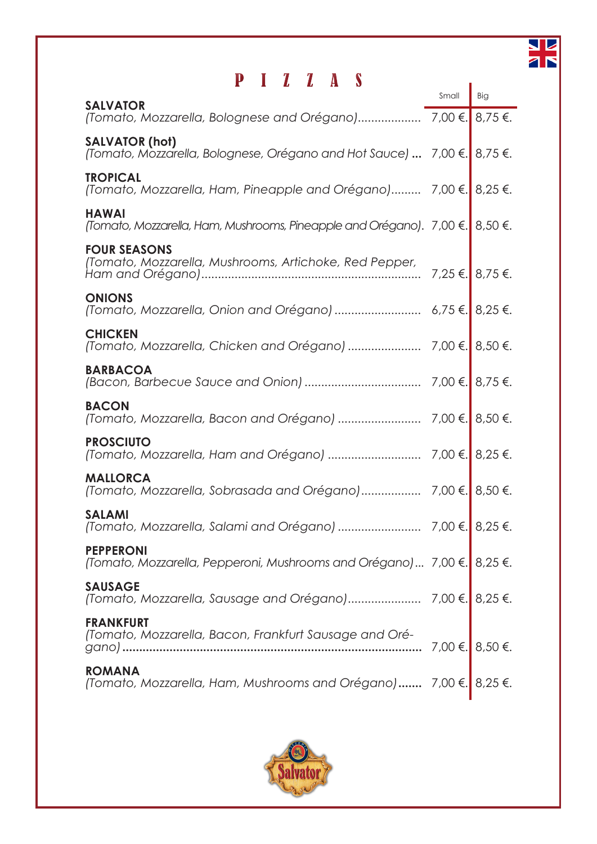

## PIZZAS

| Р<br>$\blacksquare$ $\blacksquare$ $\blacksquare$ $\blacksquare$ $\blacksquare$ $\blacksquare$ $\blacksquare$ $\blacksquare$ $\blacksquare$ $\blacksquare$ $\blacksquare$ $\blacksquare$ $\blacksquare$ $\blacksquare$ $\blacksquare$ $\blacksquare$ $\blacksquare$ $\blacksquare$ $\blacksquare$ $\blacksquare$ $\blacksquare$ $\blacksquare$ $\blacksquare$ $\blacksquare$ $\blacksquare$ $\blacksquare$ $\blacksquare$ $\blacksquare$ $\blacksquare$ $\blacksquare$ $\blacksquare$ $\blacks$ | Small           | Big             |
|-------------------------------------------------------------------------------------------------------------------------------------------------------------------------------------------------------------------------------------------------------------------------------------------------------------------------------------------------------------------------------------------------------------------------------------------------------------------------------------------------|-----------------|-----------------|
| <b>SALVATOR</b>                                                                                                                                                                                                                                                                                                                                                                                                                                                                                 |                 |                 |
| <b>SALVATOR (hot)</b><br>(Tomato, Mozzarella, Bolognese, Orégano and Hot Sauce)  7,00 €.                                                                                                                                                                                                                                                                                                                                                                                                        |                 | 8.75 €.         |
| <b>TROPICAL</b><br>(Tomato, Mozzarella, Ham, Pineapple and Orégano) 7,00 €.                                                                                                                                                                                                                                                                                                                                                                                                                     |                 | $8.25 \in$ .    |
| <b>HAWAI</b><br>(Tomato, Mozzarella, Ham, Mushrooms, Pineapple and Orégano). 7,00 €.                                                                                                                                                                                                                                                                                                                                                                                                            |                 | $8,50 \in$ .    |
| <b>FOUR SEASONS</b><br>(Tomato, Mozzarella, Mushrooms, Artichoke, Red Pepper,                                                                                                                                                                                                                                                                                                                                                                                                                   |                 | 7,25 €. 8,75 €. |
| <b>ONIONS</b><br>(Tomato, Mozzarella, Onion and Orégano)  6,75 €. 8,25 €.                                                                                                                                                                                                                                                                                                                                                                                                                       |                 |                 |
| <b>CHICKEN</b>                                                                                                                                                                                                                                                                                                                                                                                                                                                                                  |                 |                 |
| <b>BARBACOA</b>                                                                                                                                                                                                                                                                                                                                                                                                                                                                                 | 7,00 €. 8,75 €. |                 |
| <b>BACON</b><br>(Tomato, Mozzarella, Bacon and Orégano)                                                                                                                                                                                                                                                                                                                                                                                                                                         | 7,00 €. 8,50 €. |                 |
| <b>PROSCIUTO</b>                                                                                                                                                                                                                                                                                                                                                                                                                                                                                |                 |                 |
| <b>MALLORCA</b>                                                                                                                                                                                                                                                                                                                                                                                                                                                                                 |                 |                 |
| <b>SALAMI</b>                                                                                                                                                                                                                                                                                                                                                                                                                                                                                   |                 |                 |
| <b>PEPPERONI</b><br>(Tomato, Mozzarella, Pepperoni, Mushrooms and Orégano) 7,00 €. 8,25 €.                                                                                                                                                                                                                                                                                                                                                                                                      |                 |                 |
| <b>SAUSAGE</b>                                                                                                                                                                                                                                                                                                                                                                                                                                                                                  |                 |                 |
| <b>FRANKFURT</b><br>(Tomato, Mozzarella, Bacon, Frankfurt Sausage and Oré-                                                                                                                                                                                                                                                                                                                                                                                                                      |                 |                 |
| <b>ROMANA</b><br>(Tomato, Mozzarella, Ham, Mushrooms and Orégano) 7,00 €. 8,25 €.                                                                                                                                                                                                                                                                                                                                                                                                               |                 |                 |

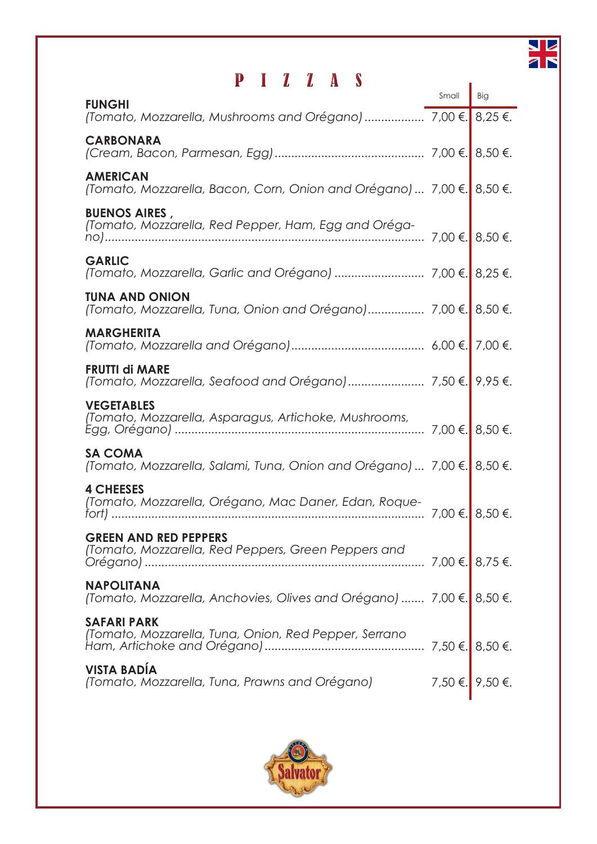

# PIZZAS

| $\mathbf{L}$<br>$\mathbf{A}$                                                              | Small            | Big     |
|-------------------------------------------------------------------------------------------|------------------|---------|
| <b>FUNGHI</b>                                                                             |                  |         |
| <b>CARBONARA</b>                                                                          |                  |         |
| <b>AMERICAN</b><br>(Tomato, Mozzarella, Bacon, Corn, Onion and Orégano)  7,00 €.          |                  | 8,50 €. |
| <b>BUENOS AIRES,</b><br>(Tomato, Mozzarella, Red Pepper, Ham, Egg and Oréga-              | 7,00 €. 8,50 €.  |         |
| <b>GARLIC</b>                                                                             |                  |         |
| <b>TUNA AND ONION</b>                                                                     |                  |         |
| <b>MARGHERITA</b>                                                                         |                  |         |
| <b>FRUTTI di MARE</b>                                                                     |                  |         |
| <b>VEGETABLES</b><br>(Tomato, Mozzarella, Asparagus, Artichoke, Mushrooms,                |                  |         |
| <b>SA COMA</b><br>(Tomato, Mozzarella, Salami, Tuna, Onion and Orégano)  7,00 €.          |                  | 8,50 €. |
| <b>4 CHEESES</b><br>(Tomato, Mozzarella, Orégano, Mac Daner, Edan, Roque-<br>$fort)$      | 7,00 €.  8,50 €. |         |
| <b>GREEN AND RED PEPPERS</b>                                                              |                  |         |
| <b>NAPOLITANA</b><br>(Tomato, Mozzarella, Anchovies, Olives and Orégano)  7,00 €. 8,50 €. |                  |         |
| <b>SAFARI PARK</b>                                                                        |                  |         |
|                                                                                           |                  |         |